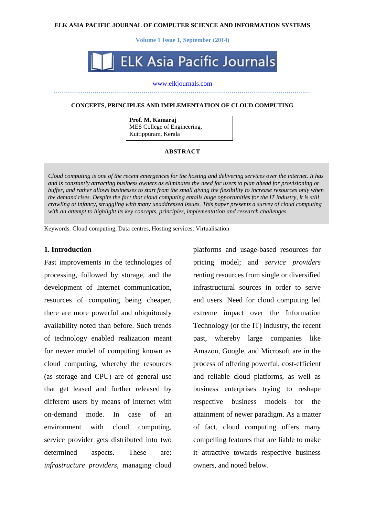

#### www.elkjournals.com **………………………………………………………………………………………………………………**

## **CONCEPTS, PRINCIPLES AND IMPLEMENTATION OF CLOUD COMPUTING**

**Prof. M. Kamaraj** MES College of Engineering, Kuttippuram, Kerala

### **ABSTRACT**

ī

*Cloud computing is one of the recent emergences for the hosting and delivering services over the internet. It has and is constantly attracting business owners as eliminates the need for users to plan ahead for provisioning or buffer, and rather allows businesses to start from the small giving the flexibility to increase resources only when the demand rises. Despite the fact that cloud computing entails huge opportunities for the IT industry, it is still crawling at infancy, struggling with many unaddressed issues. This paper presents a survey of cloud computing with an attempt to highlight its key concepts, principles, implementation and research challenges.* 

Keywords: Cloud computing, Data centres, Hosting services, Virtualisation

### **1. Introduction**

Fast improvements in the technologies of processing, followed by storage, and the development of Internet communication, resources of computing being cheaper, there are more powerful and ubiquitously availability noted than before. Such trends of technology enabled realization meant for newer model of computing known as cloud computing, whereby the resources (as storage and CPU) are of general use that get leased and further released by different users by means of internet with on-demand mode. In case of an environment with cloud computing, service provider gets distributed into two determined aspects. These are: *infrastructure providers*, managing cloud

platforms and usage-based resources for pricing model; and *service providers* renting resources from single or diversified infrastructural sources in order to serve end users. Need for cloud computing led extreme impact over the Information Technology (or the IT) industry, the recent past, whereby large companies like Amazon, Google, and Microsoft are in the process of offering powerful, cost-efficient and reliable cloud platforms, as well as business enterprises trying to reshape respective business models for the attainment of newer paradigm. As a matter of fact, cloud computing offers many compelling features that are liable to make it attractive towards respective business owners, and noted below.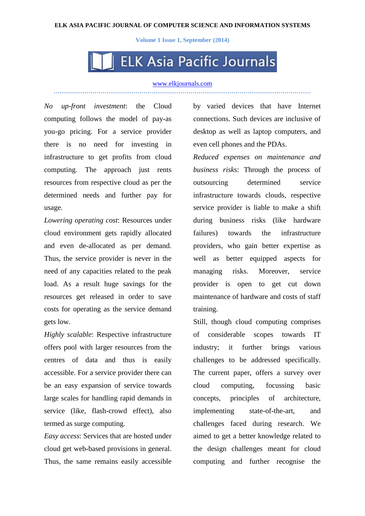## **ELK Asia Pacific Journals**

### www.elkjournals.com **………………………………………………………………………………………………………………**

*No up-front investment*: the Cloud computing follows the model of pay-as you-go pricing. For a service provider there is no need for investing in infrastructure to get profits from cloud computing. The approach just rents resources from respective cloud as per the determined needs and further pay for usage.

*Lowering operating cost*: Resources under cloud environment gets rapidly allocated and even de-allocated as per demand. Thus, the service provider is never in the need of any capacities related to the peak load. As a result huge savings for the resources get released in order to save costs for operating as the service demand gets low.

*Highly scalable*: Respective infrastructure offers pool with larger resources from the centres of data and thus is easily accessible. For a service provider there can be an easy expansion of service towards large scales for handling rapid demands in service (like, flash-crowd effect), also termed as surge computing.

*Easy access*: Services that are hosted under cloud get web-based provisions in general. Thus, the same remains easily accessible by varied devices that have Internet connections. Such devices are inclusive of desktop as well as laptop computers, and even cell phones and the PDAs.

*Reduced expenses on maintenance and business risk*s: Through the process of outsourcing determined service infrastructure towards clouds, respective service provider is liable to make a shift during business risks (like hardware failures) towards the infrastructure providers, who gain better expertise as well as better equipped aspects for managing risks. Moreover, service provider is open to get cut down maintenance of hardware and costs of staff training.

Still, though cloud computing comprises of considerable scopes towards IT industry; it further brings various challenges to be addressed specifically. The current paper, offers a survey over cloud computing, focussing basic concepts, principles of architecture, implementing state-of-the-art, and challenges faced during research. We aimed to get a better knowledge related to the design challenges meant for cloud computing and further recognise the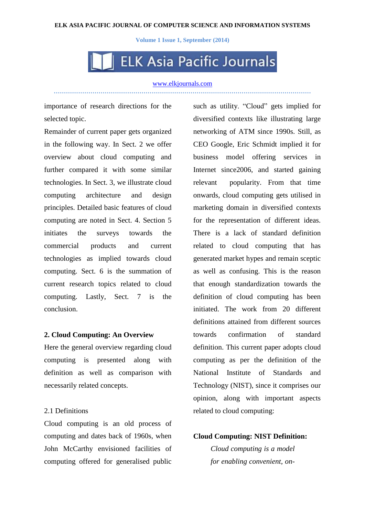# **ELK Asia Pacific Journals**

#### www.elkjournals.com **………………………………………………………………………………………………………………**

importance of research directions for the selected topic.

Remainder of current paper gets organized in the following way. In Sect. 2 we offer overview about cloud computing and further compared it with some similar technologies. In Sect. 3, we illustrate cloud computing architecture and design principles. Detailed basic features of cloud computing are noted in Sect. 4. Section 5 initiates the surveys towards the commercial products and current technologies as implied towards cloud computing. Sect. 6 is the summation of current research topics related to cloud computing. Lastly, Sect. 7 is the conclusion.

### **2. Cloud Computing: An Overview**

Here the general overview regarding cloud computing is presented along with definition as well as comparison with necessarily related concepts.

### 2.1 Definitions

Cloud computing is an old process of computing and dates back of 1960s, when John McCarthy envisioned facilities of computing offered for generalised public such as utility. "Cloud" gets implied for diversified contexts like illustrating large networking of ATM since 1990s. Still, as CEO Google, Eric Schmidt implied it for business model offering services in Internet since2006, and started gaining relevant popularity. From that time onwards, cloud computing gets utilised in marketing domain in diversified contexts for the representation of different ideas. There is a lack of standard definition related to cloud computing that has generated market hypes and remain sceptic as well as confusing. This is the reason that enough standardization towards the definition of cloud computing has been initiated. The work from 20 different definitions attained from different sources towards confirmation of standard definition. This current paper adopts cloud computing as per the definition of the National Institute of Standards and Technology (NIST), since it comprises our opinion, along with important aspects related to cloud computing:

### **Cloud Computing: NIST Definition:**

*Cloud computing is a model for enabling convenient*, *on-*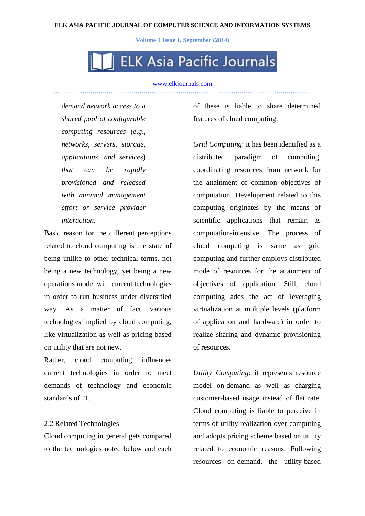# **ELK Asia Pacific Journals**

www.elkjournals.com

*demand network access to a shared pool of configurable computing resources* (*e*.*g*., *networks*, *servers*, *storage*, *applications*, *and services*) *that can be rapidly provisioned and released with minimal management effort or service provider interaction*.

**………………………………………………………………………………………………………………**

Basic reason for the different perceptions related to cloud computing is the state of being unlike to other technical terms, not being a new technology, yet being a new operations model with current technologies in order to run business under diversified way. As a matter of fact, various technologies implied by cloud computing, like virtualization as well as pricing based on utility that are not new.

Rather, cloud computing influences current technologies in order to meet demands of technology and economic standards of IT.

## 2.2 Related Technologies

Cloud computing in general gets compared to the technologies noted below and each of these is liable to share determined features of cloud computing:

*Grid Computing*: it has been identified as a distributed paradigm of computing, coordinating resources from network for the attainment of common objectives of computation. Development related to this computing originates by the means of scientific applications that remain as computation-intensive. The process of cloud computing is same as grid computing and further employs distributed mode of resources for the attainment of objectives of application. Still, cloud computing adds the act of leveraging virtualization at multiple levels (platform of application and hardware) in order to realize sharing and dynamic provisioning of resources.

*Utility Computing*: it represents resource model on-demand as well as charging customer-based usage instead of flat rate. Cloud computing is liable to perceive in terms of utility realization over computing and adopts pricing scheme based on utility related to economic reasons. Following resources on-demand, the utility-based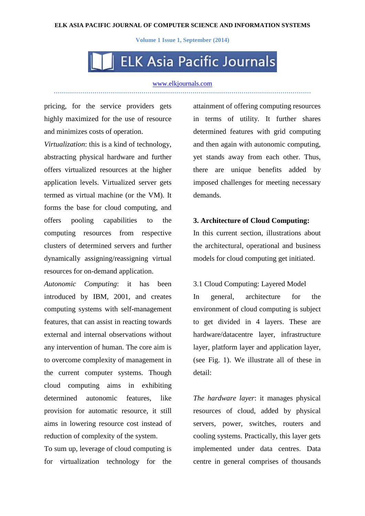# **ELK Asia Pacific Journals**

### www.elkjournals.com **………………………………………………………………………………………………………………**

pricing, for the service providers gets highly maximized for the use of resource and minimizes costs of operation.

*Virtualization*: this is a kind of technology, abstracting physical hardware and further offers virtualized resources at the higher application levels. Virtualized server gets termed as virtual machine (or the VM). It forms the base for cloud computing, and offers pooling capabilities to the computing resources from respective clusters of determined servers and further dynamically assigning/reassigning virtual resources for on-demand application.

*Autonomic Computing*: it has been introduced by IBM, 2001, and creates computing systems with self-management features, that can assist in reacting towards external and internal observations without any intervention of human. The core aim is to overcome complexity of management in the current computer systems. Though cloud computing aims in exhibiting determined autonomic features, like provision for automatic resource, it still aims in lowering resource cost instead of reduction of complexity of the system.

To sum up, leverage of cloud computing is for virtualization technology for the attainment of offering computing resources in terms of utility. It further shares determined features with grid computing and then again with autonomic computing, yet stands away from each other. Thus, there are unique benefits added by imposed challenges for meeting necessary demands.

## **3. Architecture of Cloud Computing:**

In this current section, illustrations about the architectural, operational and business models for cloud computing get initiated.

### 3.1 Cloud Computing: Layered Model

In general, architecture for the environment of cloud computing is subject to get divided in 4 layers. These are hardware/datacentre layer, infrastructure layer, platform layer and application layer, (see Fig. 1). We illustrate all of these in detail:

*The hardware layer*: it manages physical resources of cloud, added by physical servers, power, switches, routers and cooling systems. Practically, this layer gets implemented under data centres. Data centre in general comprises of thousands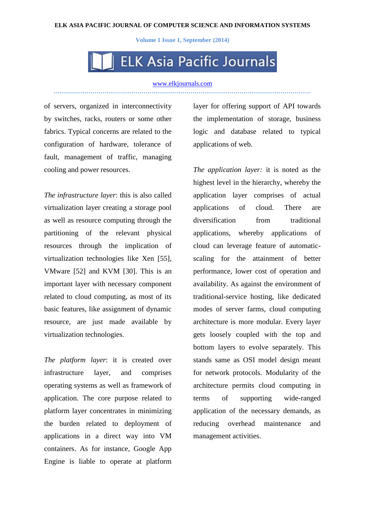# **ELK Asia Pacific Journals**

### www.elkjournals.com **………………………………………………………………………………………………………………**

of servers, organized in interconnectivity by switches, racks, routers or some other fabrics. Typical concerns are related to the configuration of hardware, tolerance of fault, management of traffic, managing cooling and power resources.

*The infrastructure layer*: this is also called virtualization layer creating a storage pool as well as resource computing through the partitioning of the relevant physical resources through the implication of virtualization technologies like Xen [55], VMware [52] and KVM [30]. This is an important layer with necessary component related to cloud computing, as most of its basic features, like assignment of dynamic resource, are just made available by virtualization technologies.

*The platform layer*: it is created over infrastructure layer, and comprises operating systems as well as framework of application. The core purpose related to platform layer concentrates in minimizing the burden related to deployment of applications in a direct way into VM containers. As for instance, Google App Engine is liable to operate at platform layer for offering support of API towards the implementation of storage, business logic and database related to typical applications of web.

*The application layer:* it is noted as the highest level in the hierarchy, whereby the application layer comprises of actual applications of cloud. There are diversification from traditional applications, whereby applications of cloud can leverage feature of automaticscaling for the attainment of better performance, lower cost of operation and availability. As against the environment of traditional-service hosting, like dedicated modes of server farms, cloud computing architecture is more modular. Every layer gets loosely coupled with the top and bottom layers to evolve separately. This stands same as OSI model design meant for network protocols. Modularity of the architecture permits cloud computing in terms of supporting wide-ranged application of the necessary demands, as reducing overhead maintenance and management activities.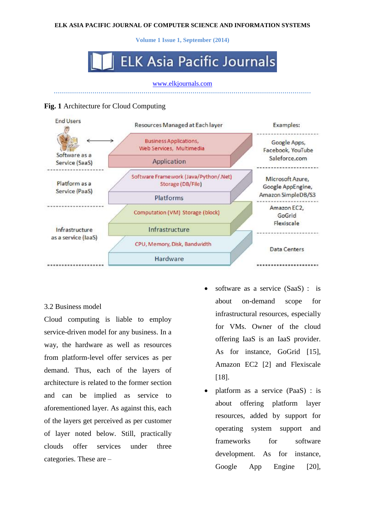

www.elkjournals.com

**………………………………………………………………………………………………………………**

### **Fig. 1** Architecture for Cloud Computing



### 3.2 Business model

Cloud computing is liable to employ service-driven model for any business. In a way, the hardware as well as resources from platform-level offer services as per demand. Thus, each of the layers of architecture is related to the former section and can be implied as service to aforementioned layer. As against this, each of the layers get perceived as per customer of layer noted below. Still, practically clouds offer services under three categories. These are –

- software as a service (SaaS) : is about on-demand scope for infrastructural resources, especially for VMs. Owner of the cloud offering IaaS is an IaaS provider. As for instance, GoGrid [15], Amazon EC2 [2] and Flexiscale [18].
- platform as a service (PaaS) : is about offering platform layer resources, added by support for operating system support and frameworks for software development. As for instance, Google App Engine [20],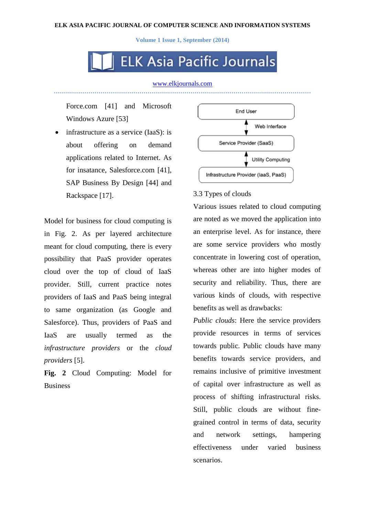# **ELK Asia Pacific Journals**

www.elkjournals.com **………………………………………………………………………………………………………………**

Force.com [41] and Microsoft Windows Azure [53]

 infrastructure as a service (IaaS): is about offering on demand applications related to Internet. As for insatance, Salesforce.com [41], SAP Business By Design [44] and Rackspace [17].

Model for business for cloud computing is in Fig. 2. As per layered architecture meant for cloud computing, there is every possibility that PaaS provider operates cloud over the top of cloud of IaaS provider. Still, current practice notes providers of IaaS and PaaS being integral to same organization (as Google and Salesforce). Thus, providers of PaaS and IaaS are usually termed as the *infrastructure providers* or the *cloud providers* [5].

**Fig. 2** Cloud Computing: Model for Business



### 3.3 Types of clouds

Various issues related to cloud computing are noted as we moved the application into an enterprise level. As for instance, there are some service providers who mostly concentrate in lowering cost of operation, whereas other are into higher modes of security and reliability. Thus, there are various kinds of clouds, with respective benefits as well as drawbacks:

*Public clouds*: Here the service providers provide resources in terms of services towards public. Public clouds have many benefits towards service providers, and remains inclusive of primitive investment of capital over infrastructure as well as process of shifting infrastructural risks. Still, public clouds are without finegrained control in terms of data, security and network settings, hampering effectiveness under varied business scenarios.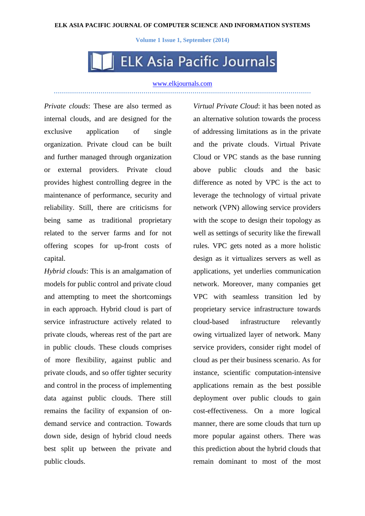# **ELK Asia Pacific Journals**

www.elkjournals.com **………………………………………………………………………………………………………………**

*Private clouds*: These are also termed as internal clouds, and are designed for the exclusive application of single organization. Private cloud can be built and further managed through organization or external providers. Private cloud provides highest controlling degree in the maintenance of performance, security and reliability. Still, there are criticisms for being same as traditional proprietary related to the server farms and for not offering scopes for up-front costs of capital.

*Hybrid clouds*: This is an amalgamation of models for public control and private cloud and attempting to meet the shortcomings in each approach. Hybrid cloud is part of service infrastructure actively related to private clouds, whereas rest of the part are in public clouds. These clouds comprises of more flexibility, against public and private clouds, and so offer tighter security and control in the process of implementing data against public clouds. There still remains the facility of expansion of ondemand service and contraction. Towards down side, design of hybrid cloud needs best split up between the private and public clouds.

*Virtual Private Cloud*: it has been noted as an alternative solution towards the process of addressing limitations as in the private and the private clouds. Virtual Private Cloud or VPC stands as the base running above public clouds and the basic difference as noted by VPC is the act to leverage the technology of virtual private network (VPN) allowing service providers with the scope to design their topology as well as settings of security like the firewall rules. VPC gets noted as a more holistic design as it virtualizes servers as well as applications, yet underlies communication network. Moreover, many companies get VPC with seamless transition led by proprietary service infrastructure towards cloud-based infrastructure relevantly owing virtualized layer of network. Many service providers, consider right model of cloud as per their business scenario. As for instance, scientific computation-intensive applications remain as the best possible deployment over public clouds to gain cost-effectiveness. On a more logical manner, there are some clouds that turn up more popular against others. There was this prediction about the hybrid clouds that remain dominant to most of the most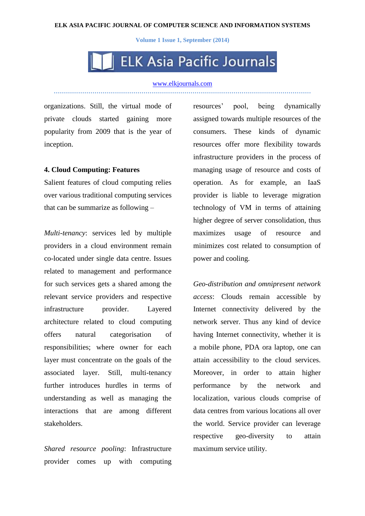# **ELK Asia Pacific Journals**

### www.elkjournals.com

**………………………………………………………………………………………………………………**

organizations. Still, the virtual mode of private clouds started gaining more popularity from 2009 that is the year of inception.

### **4. Cloud Computing: Features**

Salient features of cloud computing relies over various traditional computing services that can be summarize as following –

*Multi-tenancy*: services led by multiple providers in a cloud environment remain co-located under single data centre. Issues related to management and performance for such services gets a shared among the relevant service providers and respective infrastructure provider. Layered architecture related to cloud computing offers natural categorisation of responsibilities; where owner for each layer must concentrate on the goals of the associated layer. Still, multi-tenancy further introduces hurdles in terms of understanding as well as managing the interactions that are among different stakeholders.

*Shared resource pooling*: Infrastructure provider comes up with computing resources' pool, being dynamically assigned towards multiple resources of the consumers. These kinds of dynamic resources offer more flexibility towards infrastructure providers in the process of managing usage of resource and costs of operation. As for example, an IaaS provider is liable to leverage migration technology of VM in terms of attaining higher degree of server consolidation, thus maximizes usage of resource and minimizes cost related to consumption of power and cooling.

*Geo-distribution and omnipresent network access*: Clouds remain accessible by Internet connectivity delivered by the network server. Thus any kind of device having Internet connectivity, whether it is a mobile phone, PDA ora laptop, one can attain accessibility to the cloud services. Moreover, in order to attain higher performance by the network and localization, various clouds comprise of data centres from various locations all over the world. Service provider can leverage respective geo-diversity to attain maximum service utility.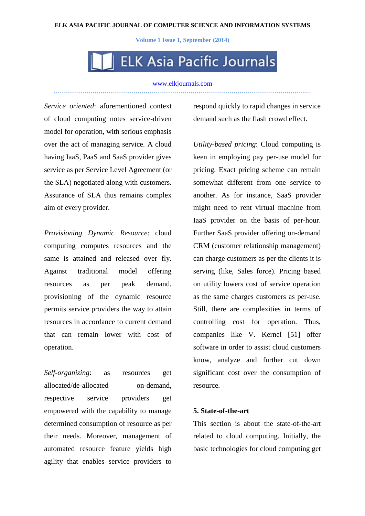## **ELK Asia Pacific Journals**

### www.elkjournals.com **………………………………………………………………………………………………………………**

*Service oriented*: aforementioned context of cloud computing notes service-driven model for operation, with serious emphasis over the act of managing service. A cloud having IaaS, PaaS and SaaS provider gives service as per Service Level Agreement (or the SLA) negotiated along with customers. Assurance of SLA thus remains complex aim of every provider.

*Provisioning Dynamic Resource*: cloud computing computes resources and the same is attained and released over fly. Against traditional model offering resources as per peak demand, provisioning of the dynamic resource permits service providers the way to attain resources in accordance to current demand that can remain lower with cost of operation.

*Self-organizing*: as resources get allocated/de-allocated on-demand, respective service providers get empowered with the capability to manage determined consumption of resource as per their needs. Moreover, management of automated resource feature yields high agility that enables service providers to respond quickly to rapid changes in service demand such as the flash crowd effect.

*Utility-based pricing*: Cloud computing is keen in employing pay per-use model for pricing. Exact pricing scheme can remain somewhat different from one service to another. As for instance, SaaS provider might need to rent virtual machine from IaaS provider on the basis of per-hour. Further SaaS provider offering on-demand CRM (customer relationship management) can charge customers as per the clients it is serving (like, Sales force). Pricing based on utility lowers cost of service operation as the same charges customers as per-use. Still, there are complexities in terms of controlling cost for operation. Thus, companies like V. Kernel [51] offer software in order to assist cloud customers know, analyze and further cut down significant cost over the consumption of resource.

## **5. State-of-the-art**

This section is about the state-of-the-art related to cloud computing. Initially, the basic technologies for cloud computing get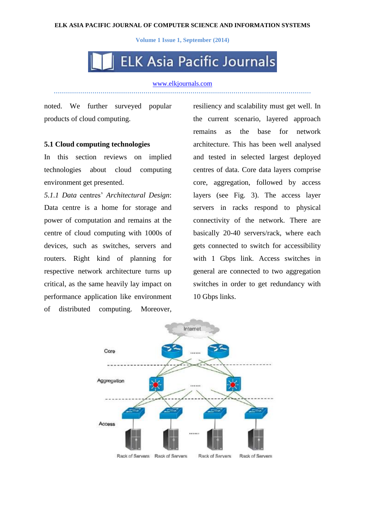# **ELK Asia Pacific Journals**

### www.elkjournals.com **………………………………………………………………………………………………………………**

noted. We further surveyed popular products of cloud computing.

### **5.1 Cloud computing technologies**

In this section reviews on implied technologies about cloud computing environment get presented.

*5.1.1 Data* centres' *Architectural Design*: Data centre is a home for storage and power of computation and remains at the centre of cloud computing with 1000s of devices, such as switches, servers and routers. Right kind of planning for respective network architecture turns up critical, as the same heavily lay impact on performance application like environment of distributed computing. Moreover,

resiliency and scalability must get well. In the current scenario, layered approach remains as the base for network architecture. This has been well analysed and tested in selected largest deployed centres of data. Core data layers comprise core, aggregation, followed by access layers (see Fig. 3). The access layer servers in racks respond to physical connectivity of the network. There are basically 20-40 servers/rack, where each gets connected to switch for accessibility with 1 Gbps link. Access switches in general are connected to two aggregation switches in order to get redundancy with 10 Gbps links.

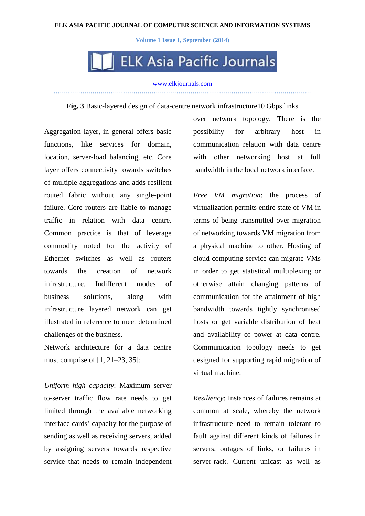# **ELK Asia Pacific Journals**

### www.elkjournals.com

**………………………………………………………………………………………………………………**

**Fig. 3** Basic-layered design of data-centre network infrastructure10 Gbps links

Aggregation layer, in general offers basic functions, like services for domain, location, server-load balancing, etc. Core layer offers connectivity towards switches of multiple aggregations and adds resilient routed fabric without any single-point failure. Core routers are liable to manage traffic in relation with data centre. Common practice is that of leverage commodity noted for the activity of Ethernet switches as well as routers towards the creation of network infrastructure. Indifferent modes of business solutions, along with infrastructure layered network can get illustrated in reference to meet determined challenges of the business.

Network architecture for a data centre must comprise of [1, 21–23, 35]:

*Uniform high capacity*: Maximum server to-server traffic flow rate needs to get limited through the available networking interface cards' capacity for the purpose of sending as well as receiving servers, added by assigning servers towards respective service that needs to remain independent over network topology. There is the possibility for arbitrary host in communication relation with data centre with other networking host at full bandwidth in the local network interface.

*Free VM migration*: the process of virtualization permits entire state of VM in terms of being transmitted over migration of networking towards VM migration from a physical machine to other. Hosting of cloud computing service can migrate VMs in order to get statistical multiplexing or otherwise attain changing patterns of communication for the attainment of high bandwidth towards tightly synchronised hosts or get variable distribution of heat and availability of power at data centre. Communication topology needs to get designed for supporting rapid migration of virtual machine.

*Resiliency*: Instances of failures remains at common at scale, whereby the network infrastructure need to remain tolerant to fault against different kinds of failures in servers, outages of links, or failures in server-rack. Current unicast as well as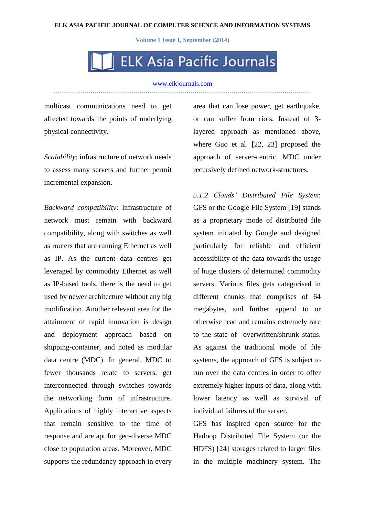# **ELK Asia Pacific Journals**

www.elkjournals.com **………………………………………………………………………………………………………………**

multicast communications need to get affected towards the points of underlying physical connectivity.

*Scalability*: infrastructure of network needs to assess many servers and further permit incremental expansion.

*Backward compatibility*: Infrastructure of network must remain with backward compatibility, along with switches as well as routers that are running Ethernet as well as IP. As the current data centres get leveraged by commodity Ethernet as well as IP-based tools, there is the need to get used by newer architecture without any big modification. Another relevant area for the attainment of rapid innovation is design and deployment approach based on shipping-container, and noted as modular data centre (MDC). In general, MDC to fewer thousands relate to servers, get interconnected through switches towards the networking form of infrastructure. Applications of highly interactive aspects that remain sensitive to the time of response and are apt for geo-diverse MDC close to population areas. Moreover, MDC supports the redundancy approach in every

area that can lose power, get earthquake, or can suffer from riots. Instead of 3 layered approach as mentioned above, where Guo et al. [22, 23] proposed the approach of server-centric, MDC under recursively defined network-structures.

*5.1.2 Clouds' Distributed File System*: GFS or the Google File System [19] stands as a proprietary mode of distributed file system initiated by Google and designed particularly for reliable and efficient accessibility of the data towards the usage of huge clusters of determined commodity servers. Various files gets categorised in different chunks that comprises of 64 megabytes, and further append to or otherwise read and remains extremely rare to the state of overwritten/shrunk status. As against the traditional mode of file systems, the approach of GFS is subject to run over the data centres in order to offer extremely higher inputs of data, along with lower latency as well as survival of individual failures of the server.

GFS has inspired open source for the Hadoop Distributed File System (or the HDFS) [24] storages related to larger files in the multiple machinery system. The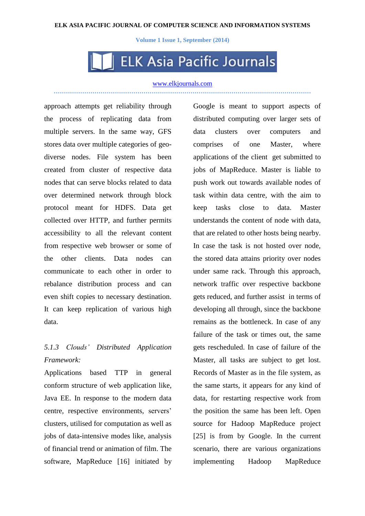# **ELK Asia Pacific Journals**

www.elkjournals.com **………………………………………………………………………………………………………………**

approach attempts get reliability through the process of replicating data from multiple servers. In the same way, GFS stores data over multiple categories of geodiverse nodes. File system has been created from cluster of respective data nodes that can serve blocks related to data over determined network through block protocol meant for HDFS. Data get collected over HTTP, and further permits accessibility to all the relevant content from respective web browser or some of the other clients. Data nodes can communicate to each other in order to rebalance distribution process and can even shift copies to necessary destination. It can keep replication of various high data.

## *5.1.3 Clouds' Distributed Application Framework:*

Applications based TTP in general conform structure of web application like, Java EE. In response to the modern data centre, respective environments, servers' clusters, utilised for computation as well as jobs of data-intensive modes like, analysis of financial trend or animation of film. The software, MapReduce [16] initiated by

Google is meant to support aspects of distributed computing over larger sets of data clusters over computers and comprises of one Master, where applications of the client get submitted to jobs of MapReduce. Master is liable to push work out towards available nodes of task within data centre, with the aim to keep tasks close to data. Master understands the content of node with data, that are related to other hosts being nearby. In case the task is not hosted over node, the stored data attains priority over nodes under same rack. Through this approach, network traffic over respective backbone gets reduced, and further assist in terms of developing all through, since the backbone remains as the bottleneck. In case of any failure of the task or times out, the same gets rescheduled. In case of failure of the Master, all tasks are subject to get lost. Records of Master as in the file system, as the same starts, it appears for any kind of data, for restarting respective work from the position the same has been left. Open source for Hadoop MapReduce project [25] is from by Google. In the current scenario, there are various organizations implementing Hadoop MapReduce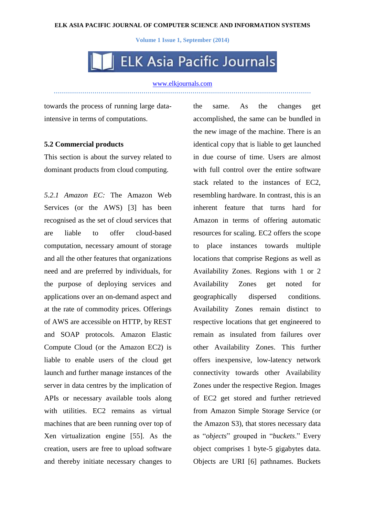# **ELK Asia Pacific Journals**

www.elkjournals.com **………………………………………………………………………………………………………………**

towards the process of running large dataintensive in terms of computations.

### **5.2 Commercial products**

This section is about the survey related to dominant products from cloud computing.

*5.2.1 Amazon EC:* The Amazon Web Services (or the AWS) [3] has been recognised as the set of cloud services that are liable to offer cloud-based computation, necessary amount of storage and all the other features that organizations need and are preferred by individuals, for the purpose of deploying services and applications over an on-demand aspect and at the rate of commodity prices. Offerings of AWS are accessible on HTTP, by REST and SOAP protocols. Amazon Elastic Compute Cloud (or the Amazon EC2) is liable to enable users of the cloud get launch and further manage instances of the server in data centres by the implication of APIs or necessary available tools along with utilities. EC2 remains as virtual machines that are been running over top of Xen virtualization engine [55]. As the creation, users are free to upload software and thereby initiate necessary changes to the same. As the changes get accomplished, the same can be bundled in the new image of the machine. There is an identical copy that is liable to get launched in due course of time. Users are almost with full control over the entire software stack related to the instances of EC2, resembling hardware. In contrast, this is an inherent feature that turns hard for Amazon in terms of offering automatic resources for scaling. EC2 offers the scope to place instances towards multiple locations that comprise Regions as well as Availability Zones. Regions with 1 or 2 Availability Zones get noted for geographically dispersed conditions. Availability Zones remain distinct to respective locations that get engineered to remain as insulated from failures over other Availability Zones. This further offers inexpensive, low-latency network connectivity towards other Availability Zones under the respective Region. Images of EC2 get stored and further retrieved from Amazon Simple Storage Service (or the Amazon S3), that stores necessary data as "*objects*" grouped in "*buckets*." Every object comprises 1 byte-5 gigabytes data. Objects are URI [6] pathnames. Buckets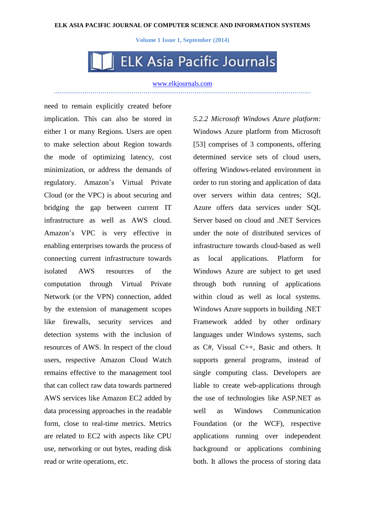# **ELK Asia Pacific Journals**

www.elkjournals.com **………………………………………………………………………………………………………………**

need to remain explicitly created before implication. This can also be stored in either 1 or many Regions. Users are open to make selection about Region towards the mode of optimizing latency, cost minimization, or address the demands of regulatory. Amazon's Virtual Private Cloud (or the VPC) is about securing and bridging the gap between current IT infrastructure as well as AWS cloud. Amazon's VPC is very effective in enabling enterprises towards the process of connecting current infrastructure towards isolated AWS resources of the computation through Virtual Private Network (or the VPN) connection, added by the extension of management scopes like firewalls, security services and detection systems with the inclusion of resources of AWS. In respect of the cloud users, respective Amazon Cloud Watch remains effective to the management tool that can collect raw data towards partnered AWS services like Amazon EC2 added by data processing approaches in the readable form, close to real-time metrics. Metrics are related to EC2 with aspects like CPU use, networking or out bytes, reading disk read or write operations, etc.

*5.2.2 Microsoft Windows Azure platform:*  Windows Azure platform from Microsoft [53] comprises of 3 components, offering determined service sets of cloud users, offering Windows-related environment in order to run storing and application of data over servers within data centres; SQL Azure offers data services under SQL Server based on cloud and .NET Services under the note of distributed services of infrastructure towards cloud-based as well as local applications. Platform for Windows Azure are subject to get used through both running of applications within cloud as well as local systems. Windows Azure supports in building .NET Framework added by other ordinary languages under Windows systems, such as C#, Visual C++, Basic and others. It supports general programs, instead of single computing class. Developers are liable to create web-applications through the use of technologies like ASP.NET as well as Windows Communication Foundation (or the WCF), respective applications running over independent background or applications combining both. It allows the process of storing data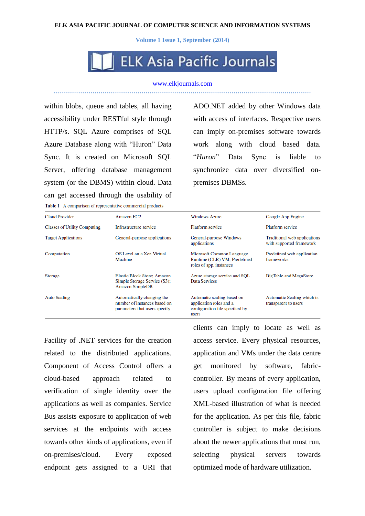## **ELK Asia Pacific Journals**

www.elkjournals.com

**………………………………………………………………………………………………………………** within blobs, queue and tables, all having accessibility under RESTful style through HTTP/s. SQL Azure comprises of SQL Azure Database along with "Huron" Data Sync. It is created on Microsoft SQL Server, offering database management system (or the DBMS) within cloud. Data can get accessed through the usability of Table 1 A comparison of representative commercial products

ADO.NET added by other Windows data with access of interfaces. Respective users can imply on-premises software towards work along with cloud based data. "*Huron*" Data Sync is liable to synchronize data over diversified onpremises DBMSs.

| <b>Cloud Provider</b>               | Amazon EC <sub>2</sub>                                                                       | <b>Windows Azure</b>                                                                              | Google App Engine                                        |
|-------------------------------------|----------------------------------------------------------------------------------------------|---------------------------------------------------------------------------------------------------|----------------------------------------------------------|
| <b>Classes of Utility Computing</b> | Infrastructure service                                                                       | <b>Platform service</b>                                                                           | <b>Platform service</b>                                  |
| <b>Target Applications</b>          | General-purpose applications                                                                 | General-purpose Windows<br>applications                                                           | Traditional web applications<br>with supported framework |
| Computation                         | OS Level on a Xen Virtual<br>Machine                                                         | Microsoft Common Language<br>Runtime (CLR) VM; Predefined<br>roles of app. instances              | Predefined web application<br>frameworks                 |
| Storage                             | <b>Elastic Block Store: Amazon</b><br>Simple Storage Service (S3);<br><b>Amazon SimpleDB</b> | Azure storage service and SQL<br>Data Services                                                    | <b>BigTable and MegaStore</b>                            |
| <b>Auto Scaling</b>                 | Automatically changing the<br>number of instances based on<br>parameters that users specify  | Automatic scaling based on<br>application roles and a<br>configuration file specified by<br>users | Automatic Scaling which is<br>transparent to users       |

Facility of .NET services for the creation related to the distributed applications. Component of Access Control offers a cloud-based approach related to verification of single identity over the applications as well as companies. Service Bus assists exposure to application of web services at the endpoints with access towards other kinds of applications, even if on-premises/cloud. Every exposed endpoint gets assigned to a URI that clients can imply to locate as well as access service. Every physical resources, application and VMs under the data centre get monitored by software, fabriccontroller. By means of every application, users upload configuration file offering XML-based illustration of what is needed for the application. As per this file, fabric controller is subject to make decisions about the newer applications that must run, selecting physical servers towards optimized mode of hardware utilization.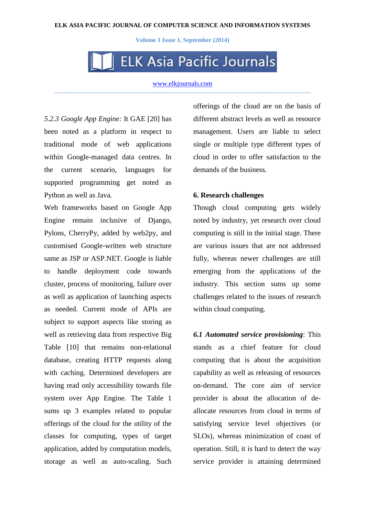# **ELK Asia Pacific Journals**

www.elkjournals.com **………………………………………………………………………………………………………………**

*5.2.3 Google App Engine:* It GAE [20] has been noted as a platform in respect to traditional mode of web applications within Google-managed data centres. In the current scenario, languages for supported programming get noted as Python as well as Java.

Web frameworks based on Google App Engine remain inclusive of Django, Pylons, CherryPy, added by web2py, and customised Google-written web structure same as JSP or ASP.NET. Google is liable to handle deployment code towards cluster, process of monitoring, failure over as well as application of launching aspects as needed. Current mode of APIs are subject to support aspects like storing as well as retrieving data from respective Big Table [10] that remains non-relational database, creating HTTP requests along with caching. Determined developers are having read only accessibility towards file system over App Engine. The Table 1 sums up 3 examples related to popular offerings of the cloud for the utility of the classes for computing, types of target application, added by computation models, storage as well as auto-scaling. Such offerings of the cloud are on the basis of different abstract levels as well as resource management. Users are liable to select single or multiple type different types of cloud in order to offer satisfaction to the demands of the business.

### **6. Research challenges**

Though cloud computing gets widely noted by industry, yet research over cloud computing is still in the initial stage. There are various issues that are not addressed fully, whereas newer challenges are still emerging from the applications of the industry. This section sums up some challenges related to the issues of research within cloud computing.

*6.1 Automated service provisioning*: This stands as a chief feature for cloud computing that is about the acquisition capability as well as releasing of resources on-demand. The core aim of service provider is about the allocation of deallocate resources from cloud in terms of satisfying service level objectives (or SLOs), whereas minimization of coast of operation. Still, it is hard to detect the way service provider is attaining determined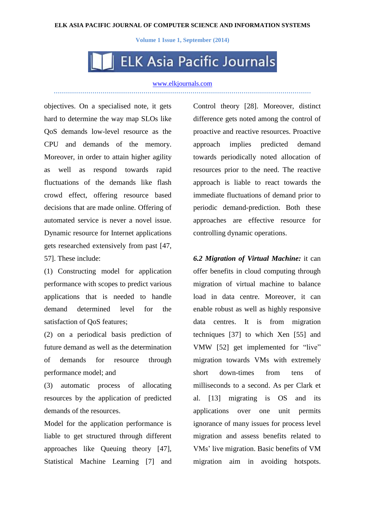# **ELK Asia Pacific Journals**

www.elkjournals.com **………………………………………………………………………………………………………………**

objectives. On a specialised note, it gets hard to determine the way map SLOs like QoS demands low-level resource as the CPU and demands of the memory. Moreover, in order to attain higher agility as well as respond towards rapid fluctuations of the demands like flash crowd effect, offering resource based decisions that are made online. Offering of automated service is never a novel issue. Dynamic resource for Internet applications gets researched extensively from past [47, 57]. These include:

(1) Constructing model for application performance with scopes to predict various applications that is needed to handle demand determined level for the satisfaction of QoS features;

(2) on a periodical basis prediction of future demand as well as the determination of demands for resource through performance model; and

(3) automatic process of allocating resources by the application of predicted demands of the resources.

Model for the application performance is liable to get structured through different approaches like Queuing theory [47], Statistical Machine Learning [7] and Control theory [28]. Moreover, distinct difference gets noted among the control of proactive and reactive resources. Proactive approach implies predicted demand towards periodically noted allocation of resources prior to the need. The reactive approach is liable to react towards the immediate fluctuations of demand prior to periodic demand-prediction. Both these approaches are effective resource for controlling dynamic operations.

*6.2 Migration of Virtual Machine:* it can offer benefits in cloud computing through migration of virtual machine to balance load in data centre. Moreover, it can enable robust as well as highly responsive data centres. It is from migration techniques [37] to which Xen [55] and VMW [52] get implemented for "live" migration towards VMs with extremely short down-times from tens of milliseconds to a second. As per Clark et al. [13] migrating is OS and its applications over one unit permits ignorance of many issues for process level migration and assess benefits related to VMs' live migration. Basic benefits of VM migration aim in avoiding hotspots.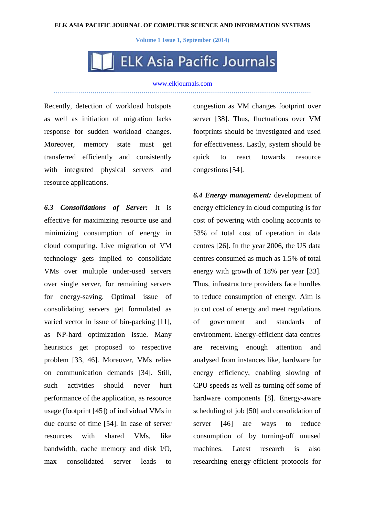# **ELK Asia Pacific Journals**

www.elkjournals.com

**………………………………………………………………………………………………………………** Recently, detection of workload hotspots as well as initiation of migration lacks response for sudden workload changes. Moreover, memory state must get

transferred efficiently and consistently with integrated physical servers and resource applications.

*6.3 Consolidations of Server:* It is effective for maximizing resource use and minimizing consumption of energy in cloud computing. Live migration of VM technology gets implied to consolidate VMs over multiple under-used servers over single server, for remaining servers for energy-saving. Optimal issue of consolidating servers get formulated as varied vector in issue of bin-packing [11], as NP-hard optimization issue. Many heuristics get proposed to respective problem [33, 46]. Moreover, VMs relies on communication demands [34]. Still, such activities should never hurt performance of the application, as resource usage (footprint [45]) of individual VMs in due course of time [54]. In case of server resources with shared VMs, like bandwidth, cache memory and disk I/O, max consolidated server leads to

congestion as VM changes footprint over server [38]. Thus, fluctuations over VM footprints should be investigated and used for effectiveness. Lastly, system should be quick to react towards resource congestions [54].

*6.4 Energy management:* development of energy efficiency in cloud computing is for cost of powering with cooling accounts to 53% of total cost of operation in data centres [26]. In the year 2006, the US data centres consumed as much as 1.5% of total energy with growth of 18% per year [33]. Thus, infrastructure providers face hurdles to reduce consumption of energy. Aim is to cut cost of energy and meet regulations of government and standards of environment. Energy-efficient data centres are receiving enough attention and analysed from instances like, hardware for energy efficiency, enabling slowing of CPU speeds as well as turning off some of hardware components [8]. Energy-aware scheduling of job [50] and consolidation of server [46] are ways to reduce consumption of by turning-off unused machines. Latest research is also researching energy-efficient protocols for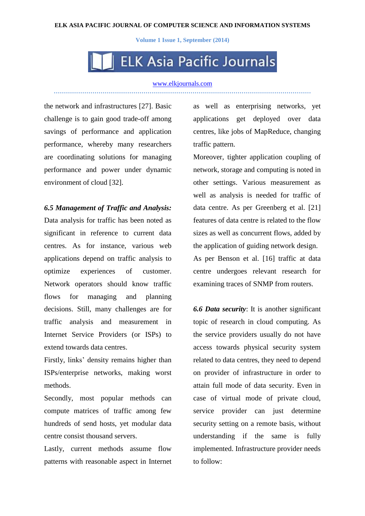## **ELK Asia Pacific Journals**

www.elkjournals.com **………………………………………………………………………………………………………………**

the network and infrastructures [27]. Basic challenge is to gain good trade-off among savings of performance and application performance, whereby many researchers are coordinating solutions for managing performance and power under dynamic environment of cloud [32].

*6.5 Management of Traffic and Analysis:* Data analysis for traffic has been noted as significant in reference to current data centres. As for instance, various web applications depend on traffic analysis to optimize experiences of customer. Network operators should know traffic flows for managing and planning decisions. Still, many challenges are for traffic analysis and measurement in Internet Service Providers (or ISPs) to extend towards data centres.

Firstly, links' density remains higher than ISPs/enterprise networks, making worst methods.

Secondly, most popular methods can compute matrices of traffic among few hundreds of send hosts, yet modular data centre consist thousand servers.

Lastly, current methods assume flow patterns with reasonable aspect in Internet as well as enterprising networks, yet applications get deployed over data centres, like jobs of MapReduce, changing traffic pattern.

Moreover, tighter application coupling of network, storage and computing is noted in other settings. Various measurement as well as analysis is needed for traffic of data centre. As per Greenberg et al. [21] features of data centre is related to the flow sizes as well as concurrent flows, added by the application of guiding network design. As per Benson et al. [16] traffic at data centre undergoes relevant research for examining traces of SNMP from routers.

*6.6 Data security*: It is another significant topic of research in cloud computing. As the service providers usually do not have access towards physical security system related to data centres, they need to depend on provider of infrastructure in order to attain full mode of data security. Even in case of virtual mode of private cloud, service provider can just determine security setting on a remote basis, without understanding if the same is fully implemented. Infrastructure provider needs to follow: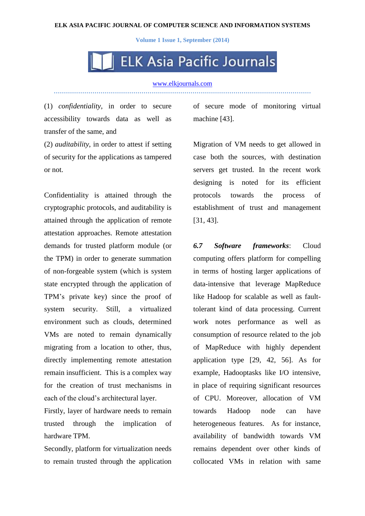# **ELK Asia Pacific Journals**

www.elkjournals.com **………………………………………………………………………………………………………………**

(1) *confidentiality*, in order to secure accessibility towards data as well as transfer of the same, and

(2) *auditability*, in order to attest if setting of security for the applications as tampered or not.

Confidentiality is attained through the cryptographic protocols, and auditability is attained through the application of remote attestation approaches. Remote attestation demands for trusted platform module (or the TPM) in order to generate summation of non-forgeable system (which is system state encrypted through the application of TPM's private key) since the proof of system security. Still, a virtualized environment such as clouds, determined VMs are noted to remain dynamically migrating from a location to other, thus, directly implementing remote attestation remain insufficient. This is a complex way for the creation of trust mechanisms in each of the cloud's architectural layer.

Firstly, layer of hardware needs to remain trusted through the implication of hardware TPM.

Secondly, platform for virtualization needs to remain trusted through the application of secure mode of monitoring virtual machine [43].

Migration of VM needs to get allowed in case both the sources, with destination servers get trusted. In the recent work designing is noted for its efficient protocols towards the process of establishment of trust and management [31, 43].

*6.7 Software frameworks*: Cloud computing offers platform for compelling in terms of hosting larger applications of data-intensive that leverage MapReduce like Hadoop for scalable as well as faulttolerant kind of data processing. Current work notes performance as well as consumption of resource related to the job of MapReduce with highly dependent application type [29, 42, 56]. As for example, Hadooptasks like I/O intensive, in place of requiring significant resources of CPU. Moreover, allocation of VM towards Hadoop node can have heterogeneous features. As for instance, availability of bandwidth towards VM remains dependent over other kinds of collocated VMs in relation with same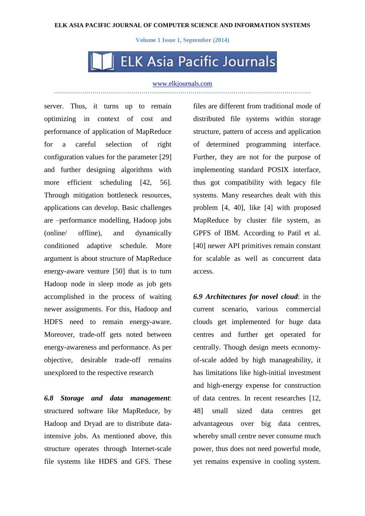# **ELK Asia Pacific Journals**

www.elkjournals.com **………………………………………………………………………………………………………………**

server. Thus, it turns up to remain optimizing in context of cost and performance of application of MapReduce for a careful selection of right configuration values for the parameter [29] and further designing algorithms with more efficient scheduling [42, 56]. Through mitigation bottleneck resources, applications can develop. Basic challenges are –performance modelling, Hadoop jobs (online/ offline), and dynamically conditioned adaptive schedule. More argument is about structure of MapReduce energy-aware venture [50] that is to turn Hadoop node in sleep mode as job gets accomplished in the process of waiting newer assignments. For this, Hadoop and HDFS need to remain energy-aware. Moreover, trade-off gets noted between energy-awareness and performance. As per objective, desirable trade-off remains unexplored to the respective research

*6.8 Storage and data management*: structured software like MapReduce, by Hadoop and Dryad are to distribute dataintensive jobs. As mentioned above, this structure operates through Internet-scale file systems like HDFS and GFS. These files are different from traditional mode of distributed file systems within storage structure, pattern of access and application of determined programming interface. Further, they are not for the purpose of implementing standard POSIX interface, thus got compatibility with legacy file systems. Many researches dealt with this problem [4, 40], like [4] with proposed MapReduce by cluster file system, as GPFS of IBM. According to Patil et al. [40] newer API primitives remain constant for scalable as well as concurrent data access.

*6.9 Architectures for novel cloud*: in the current scenario, various commercial clouds get implemented for huge data centres and further get operated for centrally. Though design meets economyof-scale added by high manageability, it has limitations like high-initial investment and high-energy expense for construction of data centres. In recent researches [12, 48] small sized data centres get advantageous over big data centres, whereby small centre never consume much power, thus does not need powerful mode, yet remains expensive in cooling system.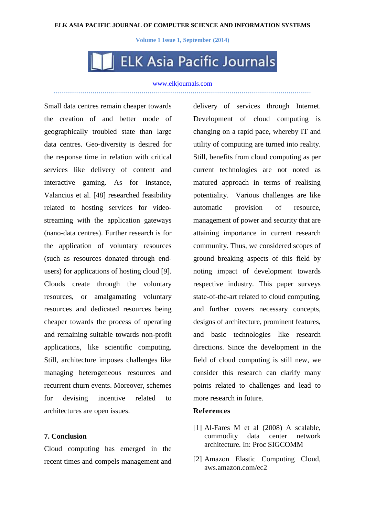# **ELK Asia Pacific Journals**

### www.elkjournals.com

Small data centres remain cheaper towards the creation of and better mode of geographically troubled state than large data centres. Geo-diversity is desired for the response time in relation with critical services like delivery of content and interactive gaming. As for instance, Valancius et al. [48] researched feasibility related to hosting services for videostreaming with the application gateways (nano-data centres). Further research is for the application of voluntary resources (such as resources donated through endusers) for applications of hosting cloud [9]. Clouds create through the voluntary resources, or amalgamating voluntary resources and dedicated resources being cheaper towards the process of operating and remaining suitable towards non-profit applications, like scientific computing. Still, architecture imposes challenges like managing heterogeneous resources and recurrent churn events. Moreover, schemes for devising incentive related to architectures are open issues.

**………………………………………………………………………………………………………………**

### **7. Conclusion**

Cloud computing has emerged in the recent times and compels management and delivery of services through Internet. Development of cloud computing is changing on a rapid pace, whereby IT and utility of computing are turned into reality. Still, benefits from cloud computing as per current technologies are not noted as matured approach in terms of realising potentiality. Various challenges are like automatic provision of resource, management of power and security that are attaining importance in current research community. Thus, we considered scopes of ground breaking aspects of this field by noting impact of development towards respective industry. This paper surveys state-of-the-art related to cloud computing, and further covers necessary concepts, designs of architecture, prominent features, and basic technologies like research directions. Since the development in the field of cloud computing is still new, we consider this research can clarify many points related to challenges and lead to more research in future.

### **References**

- [1] Al-Fares M et al (2008) A scalable, commodity data center network architecture. In: Proc SIGCOMM
- [2] Amazon Elastic Computing Cloud, aws.amazon.com/ec2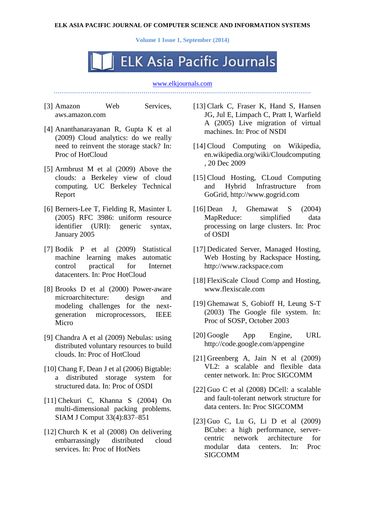

www.elkjournals.com

**………………………………………………………………………………………………………………**

[3] Amazon Web Services, aws.amazon.com

- [4] Ananthanarayanan R, Gupta K et al (2009) Cloud analytics: do we really need to reinvent the storage stack? In: Proc of HotCloud
- [5] Armbrust M et al (2009) Above the clouds: a Berkeley view of cloud computing. UC Berkeley Technical Report
- [6] Berners-Lee T, Fielding R, Masinter L (2005) RFC 3986: uniform resource identifier (URI): generic syntax, January 2005
- [7] Bodik P et al (2009) Statistical machine learning makes automatic control practical for Internet datacenters. In: Proc HotCloud
- [8] Brooks D et al (2000) Power-aware microarchitecture: design and modeling challenges for the nextgeneration microprocessors, IEEE Micro
- [9] Chandra A et al (2009) Nebulas: using distributed voluntary resources to build clouds. In: Proc of HotCloud
- [10] Chang F, Dean J et al (2006) Bigtable: a distributed storage system for structured data. In: Proc of OSDI
- [11] Chekuri C, Khanna S (2004) On multi-dimensional packing problems. SIAM J Comput 33(4):837–851
- [12] Church K et al (2008) On delivering embarrassingly distributed cloud services. In: Proc of HotNets.
- [13] Clark C, Fraser K, Hand S, Hansen JG, Jul E, Limpach C, Pratt I, Warfield A (2005) Live migration of virtual machines. In: Proc of NSDI
- [14] Cloud Computing on Wikipedia, en.wikipedia.org/wiki/Cloudcomputing , 20 Dec 2009
- [15] Cloud Hosting, CLoud Computing and Hybrid Infrastructure from GoGrid, http://www.gogrid.com
- [16] Dean J, Ghemawat S (2004) MapReduce: simplified data processing on large clusters. In: Proc of OSDI
- [17] Dedicated Server, Managed Hosting, Web Hosting by Rackspace Hosting, http://www.rackspace.com
- [18] FlexiScale Cloud Comp and Hosting, www.flexiscale.com
- [19] Ghemawat S, Gobioff H, Leung S-T (2003) The Google file system. In: Proc of SOSP, October 2003
- [20] Google App Engine, URL http://code.google.com/appengine
- [21] Greenberg A, Jain N et al (2009) VL2: a scalable and flexible data center network. In: Proc SIGCOMM
- [22] Guo C et al (2008) DCell: a scalable and fault-tolerant network structure for data centers. In: Proc SIGCOMM
- [23] Guo C, Lu G, Li D et al (2009) BCube: a high performance, servercentric network architecture for modular data centers. In: Proc SIGCOMM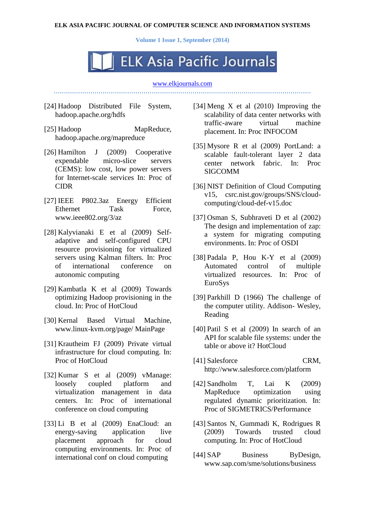# **ELK Asia Pacific Journals**

www.elkjournals.com **………………………………………………………………………………………………………………**

[24] Hadoop Distributed File System, hadoop.apache.org/hdfs

- [25] Hadoop MapReduce, hadoop.apache.org/mapreduce
- [26] Hamilton J (2009) Cooperative expendable micro-slice servers (CEMS): low cost, low power servers for Internet-scale services In: Proc of CIDR
- [27] IEEE P802.3az Energy Efficient Ethernet Task Force, www.ieee802.org/3/az
- [28] Kalyvianaki E et al (2009) Selfadaptive and self-configured CPU resource provisioning for virtualized servers using Kalman filters. In: Proc of international conference on autonomic computing
- [29] Kambatla K et al (2009) Towards optimizing Hadoop provisioning in the cloud. In: Proc of HotCloud
- [30] Kernal Based Virtual Machine, www.linux-kvm.org/page/ MainPage
- [31] Krautheim FJ (2009) Private virtual infrastructure for cloud computing. In: Proc of HotCloud
- [32] Kumar S et al (2009) vManage: loosely coupled platform and virtualization management in data centers. In: Proc of international conference on cloud computing
- [33] Li B et al (2009) EnaCloud: an energy-saving application live placement approach for cloud computing environments. In: Proc of international conf on cloud computing
- [34] Meng X et al (2010) Improving the scalability of data center networks with traffic-aware virtual machine placement. In: Proc INFOCOM
- [35] Mysore R et al (2009) PortLand: a scalable fault-tolerant layer 2 data center network fabric. In: Proc SIGCOMM
- [36] NIST Definition of Cloud Computing v15, csrc.nist.gov/groups/SNS/cloudcomputing/cloud-def-v15.doc
- [37] Osman S, Subhraveti D et al (2002) The design and implementation of zap: a system for migrating computing environments. In: Proc of OSDI
- [38] Padala P, Hou K-Y et al (2009) Automated control of multiple virtualized resources. In: Proc of EuroSys
- [39] Parkhill D (1966) The challenge of the computer utility. Addison- Wesley, Reading
- [40] Patil S et al (2009) In search of an API for scalable file systems: under the table or above it? HotCloud
- [41] Salesforce CRM, http://www.salesforce.com/platform
- [42] Sandholm T, Lai K (2009) MapReduce optimization using regulated dynamic prioritization. In: Proc of SIGMETRICS/Performance
- [43] Santos N, Gummadi K, Rodrigues R (2009) Towards trusted cloud computing. In: Proc of HotCloud
- [44] SAP Business ByDesign, www.sap.com/sme/solutions/business